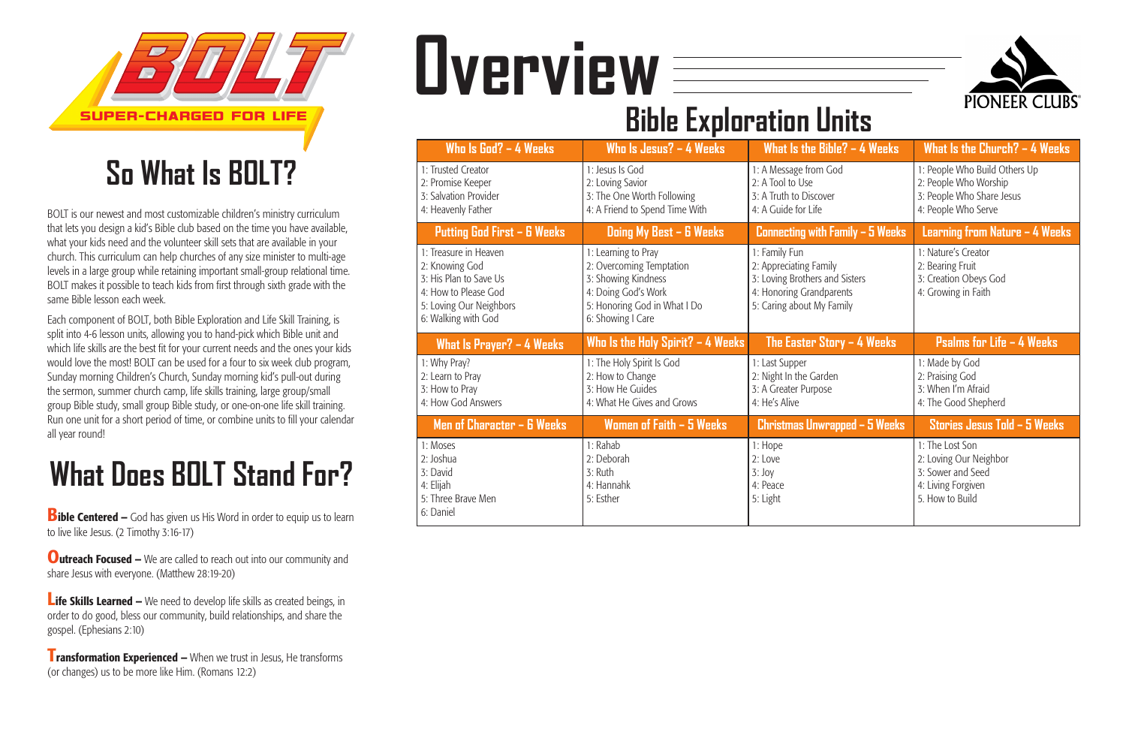BOLT is our newest and most customizable children's ministry curriculum that lets you design a kid's Bible club based on the time you have available, what your kids need and the volunteer skill sets that are available in your church. This curriculum can help churches of any size minister to multi-age levels in a large group while retaining important small-group relational time. BOLT makes it possible to teach kids from first through sixth grade with the same Bible lesson each week.

**Bible Centered –** God has given us His Word in order to equip us to learn to live like Jesus. (2 Timothy 3:16-17)

**Outreach Focused –** We are called to reach out into our community and share Jesus with everyone. (Matthew 28:19-20)

**Life Skills Learned –** We need to develop life skills as created beings, in order to do good, bless our community, build relationships, and share the gospel. (Ephesians 2:10)

Each component of BOLT, both Bible Exploration and Life Skill Training, is split into 4-6 lesson units, allowing you to hand-pick which Bible unit and which life skills are the best fit for your current needs and the ones your kids would love the most! BOLT can be used for a four to six week club program, Sunday morning Children's Church, Sunday morning kid's pull-out during the sermon, summer church camp, life skills training, large group/small group Bible study, small group Bible study, or one-on-one life skill training. Run one unit for a short period of time, or combine units to fill your calendar all year round!

**Transformation Experienced –** When we trust in Jesus, He transforms (or changes) us to be more like Him. (Romans 12:2)

| Who Is God? $-$ 4 Weeks                                                                                                                     | Who Is Jesus? $-$ 4 Weeks                                                                                                                          | What Is the Bible? $-$ 4 Weeks                                                                                                     | What Is the Church? $-$ 4 Weeks                                                                            |  |
|---------------------------------------------------------------------------------------------------------------------------------------------|----------------------------------------------------------------------------------------------------------------------------------------------------|------------------------------------------------------------------------------------------------------------------------------------|------------------------------------------------------------------------------------------------------------|--|
| 1: Trusted Creator<br>2: Promise Keeper<br>3: Salvation Provider<br>4: Heavenly Father                                                      | 1: Jesus Is God<br>2: Loving Savior<br>3: The One Worth Following<br>4: A Friend to Spend Time With                                                | 1: A Message from God<br>2: A Tool to Use<br>3: A Truth to Discover<br>4: A Guide for Life                                         | 1: People Who Build Others Up<br>2: People Who Worship<br>3: People Who Share Jesus<br>4: People Who Serve |  |
| <b>Putting God First - 6 Weeks</b>                                                                                                          | Doing My Best - 6 Weeks                                                                                                                            | Connecting with Family - 5 Weeks                                                                                                   | Learning from Nature - 4 Weeks                                                                             |  |
| 1: Treasure in Heaven<br>2: Knowing God<br>3: His Plan to Save Us<br>4: How to Please God<br>5: Loving Our Neighbors<br>6: Walking with God | 1: Learning to Pray<br>2: Overcoming Temptation<br>3: Showing Kindness<br>4: Doing God's Work<br>5: Honoring God in What I Do<br>6: Showing I Care | 1: Family Fun<br>2: Appreciating Family<br>3: Loving Brothers and Sisters<br>4: Honoring Grandparents<br>5: Caring about My Family | 1: Nature's Creator<br>2: Bearing Fruit<br>3: Creation Obeys God<br>4: Growing in Faith                    |  |
|                                                                                                                                             |                                                                                                                                                    |                                                                                                                                    |                                                                                                            |  |
| What Is Prayer? - 4 Weeks                                                                                                                   | Who Is the Holy Spirit? $-$ 4 Weeks                                                                                                                | The Easter Story $-$ 4 Weeks                                                                                                       | <b>Psalms for Life - 4 Weeks</b>                                                                           |  |
| 1: Why Pray?<br>2: Learn to Pray<br>3: How to Pray<br>4: How God Answers                                                                    | 1: The Holy Spirit Is God<br>2: How to Change<br>3: How He Guides<br>4: What He Gives and Grows                                                    | 1: Last Supper<br>2: Night In the Garden<br>3: A Greater Purpose<br>4: He's Alive                                                  | 1: Made by God<br>2: Praising God<br>3: When I'm Afraid<br>4: The Good Shepherd                            |  |
| Men of Character - 6 Weeks                                                                                                                  | Women of Faith - 5 Weeks                                                                                                                           | <b>Christmas Unwrapped - 5 Weeks</b>                                                                                               | Stories Jesus Told - 5 Weeks                                                                               |  |





## **So What Is BOLT?**

## **What Does BOLT Stand For?**

# **Overview**

### **Bible Exploration Units**